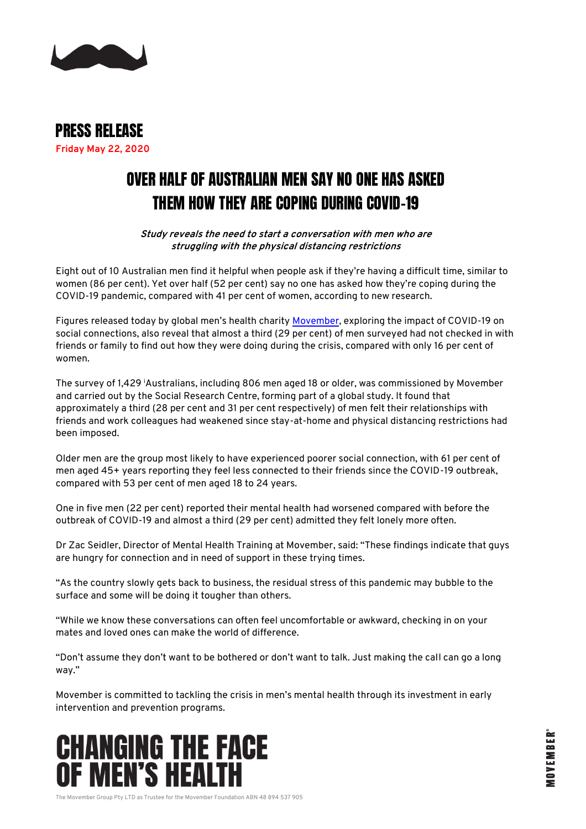

PRESS RELEASE **Friday May 22, 2020**

## OVER HALF OF AUSTRALIAN MEN SAY NO ONE HAS ASKED THEM HOW THEY ARE COPING DURING COVID-19

**Study reveals the need to start a conversation with men who are struggling with the physical distancing restrictions**

Eight out of 10 Australian men find it helpful when people ask if they're having a difficult time, similar to women (86 per cent). Yet over half (52 per cent) say no one has asked how they're coping during the COVID-19 pandemic, compared with 41 per cent of women, according to new research.

Figures released today by global men's health charity [Movember,](https://movember.com/) exploring the impact of COVID-19 on social connections, also reveal that almost a third (29 per cent) of men surveyed had not checked in with friends or family to find out how they were doing during the crisis, compared with only 16 per cent of women.

The survey of 1,429 <sup>i</sup>Australians, including 806 men aged 18 or older, was commissioned by Movember and carried out by the Social Research Centre, forming part of a global study. It found that approximately a third (28 per cent and 31 per cent respectively) of men felt their relationships with friends and work colleagues had weakened since stay-at-home and physical distancing restrictions had been imposed.

Older men are the group most likely to have experienced poorer social connection, with 61 per cent of men aged 45+ years reporting they feel less connected to their friends since the COVID-19 outbreak, compared with 53 per cent of men aged 18 to 24 years.

One in five men (22 per cent) reported their mental health had worsened compared with before the outbreak of COVID-19 and almost a third (29 per cent) admitted they felt lonely more often.

Dr Zac Seidler, Director of Mental Health Training at Movember, said: "These findings indicate that guys are hungry for connection and in need of support in these trying times.

"As the country slowly gets back to business, the residual stress of this pandemic may bubble to the surface and some will be doing it tougher than others.

"While we know these conversations can often feel uncomfortable or awkward, checking in on your mates and loved ones can make the world of difference.

"Don't assume they don't want to be bothered or don't want to talk. Just making the call can go a long way."

Movember is committed to tackling the crisis in men's mental health through its investment in early intervention and prevention programs.



The Movember Group Pty LTD as Trustee for the Movember Foundation ABN 48 894 537 905